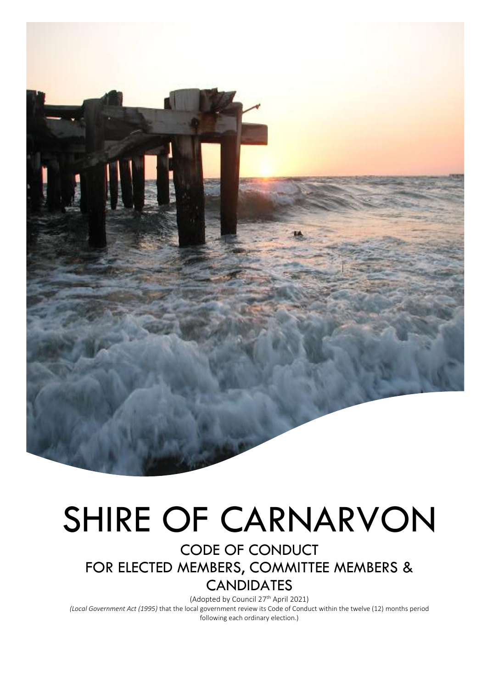

# SHIRE OF CARNARVON

CODE OF CONDUCT FOR ELECTED MEMBERS, COMMITTEE MEMBERS & **CANDIDATES** 

(Adopted by Council 27th April 2021) *(Local Government Act (1995)* that the local government review its Code of Conduct within the twelve (12) months period following each ordinary election.)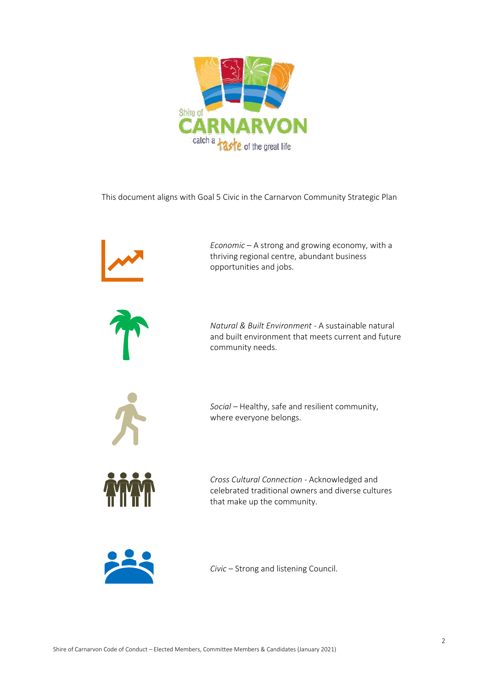

This document aligns with Goal 5 Civic in the Carnarvon Community Strategic Plan





*Civic* – Strong and listening Council.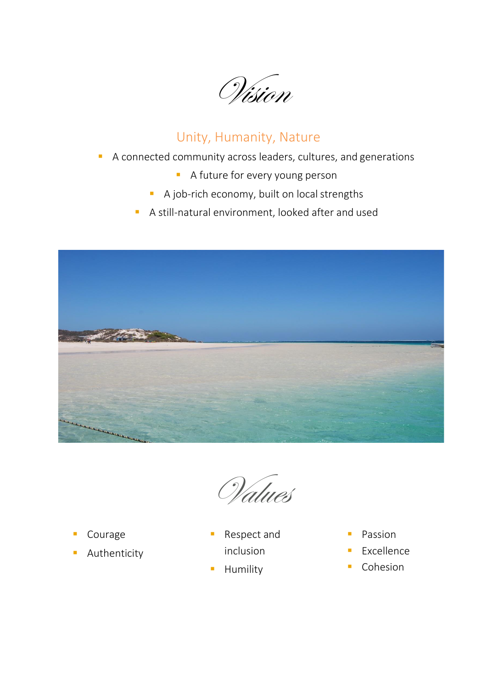Vision

# Unity, Humanity, Nature

- A connected community across leaders, cultures, and generations
	- **A** future for every young person
	- A job-rich economy, built on local strengths
	- A still-natural environment, looked after and used



Values

- Courage
- **E** Authenticity
- Respect and inclusion
- Humility
- Passion
- Excellence
- Cohesion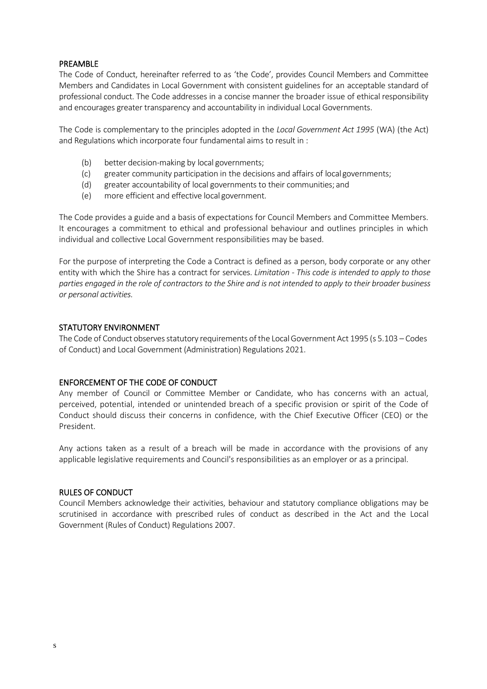# PREAMBLE

The Code of Conduct, hereinafter referred to as 'the Code', provides Council Members and Committee Members and Candidates in Local Government with consistent guidelines for an acceptable standard of professional conduct. The Code addresses in a concise manner the broader issue of ethical responsibility and encourages greater transparency and accountability in individual Local Governments.

The Code is complementary to the principles adopted in the *Local Government Act 1995* (WA) (the Act) and Regulations which incorporate four fundamental aims to result in :

- (b) better decision-making by local governments;
- (c) greater community participation in the decisions and affairs of local governments;
- (d) greater accountability of local governments to their communities; and
- (e) more efficient and effective local government.

The Code provides a guide and a basis of expectations for Council Members and Committee Members. It encourages a commitment to ethical and professional behaviour and outlines principles in which individual and collective Local Government responsibilities may be based.

For the purpose of interpreting the Code a Contract is defined as a person, body corporate or any other entity with which the Shire has a contract for services. *Limitation - This code is intended to apply to those*  parties engaged in the role of contractors to the Shire and is not intended to apply to their broader business *or personal activities.* 

# STATUTORY ENVIRONMENT

The Code of Conduct observes statutory requirements of the Local Government Act 1995 (s 5.103 – Codes of Conduct) and Local Government (Administration) Regulations 2021.

# ENFORCEMENT OF THE CODE OF CONDUCT

Any member of Council or Committee Member or Candidate, who has concerns with an actual, perceived, potential, intended or unintended breach of a specific provision or spirit of the Code of Conduct should discuss their concerns in confidence, with the Chief Executive Officer (CEO) or the President.

Any actions taken as a result of a breach will be made in accordance with the provisions of any applicable legislative requirements and Council's responsibilities as an employer or as a principal.

#### RULES OF CONDUCT

Council Members acknowledge their activities, behaviour and statutory compliance obligations may be scrutinised in accordance with prescribed rules of conduct as described in the Act and the Local Government (Rules of Conduct) Regulations 2007.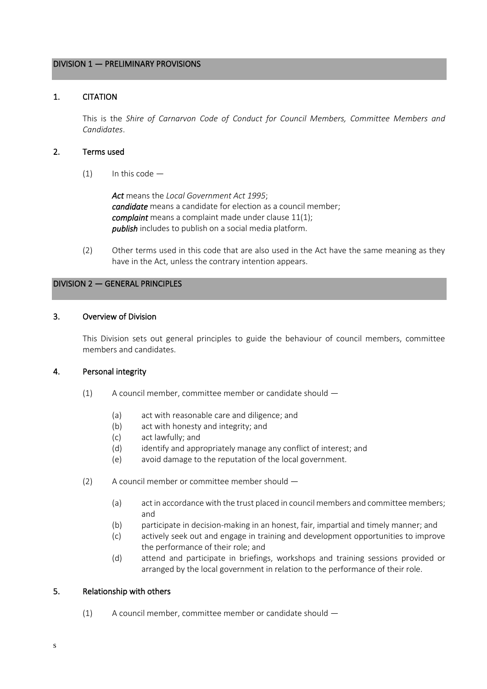# DIVISION 1 — PRELIMINARY PROVISIONS

# 1. CITATION

This is the *Shire of Carnarvon Code of Conduct for Council Members, Committee Members and Candidates*.

#### 2. Terms used

 $(1)$  In this code —

*Act* means the *Local Government Act 1995*; *candidate* means a candidate for election as a council member; *complaint* means a complaint made under clause 11(1); *publish* includes to publish on a social media platform.

(2) Other terms used in this code that are also used in the Act have the same meaning as they have in the Act, unless the contrary intention appears.

# DIVISION 2 — GENERAL PRINCIPLES

#### 3. Overview of Division

This Division sets out general principles to guide the behaviour of council members, committee members and candidates.

# 4. Personal integrity

- (1) A council member, committee member or candidate should
	- (a) act with reasonable care and diligence; and
	- (b) act with honesty and integrity; and
	- (c) act lawfully; and
	- (d) identify and appropriately manage any conflict of interest; and
	- (e) avoid damage to the reputation of the local government.
- (2) A council member or committee member should
	- (a) act in accordance with the trust placed in council members and committee members; and
	- (b) participate in decision-making in an honest, fair, impartial and timely manner; and
	- (c) actively seek out and engage in training and development opportunities to improve the performance of their role; and
	- (d) attend and participate in briefings, workshops and training sessions provided or arranged by the local government in relation to the performance of their role.

# 5. Relationship with others

(1) A council member, committee member or candidate should —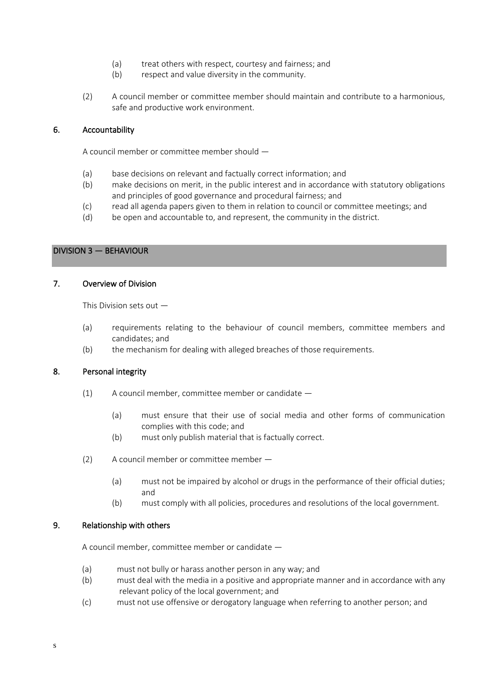- (a) treat others with respect, courtesy and fairness; and
- (b) respect and value diversity in the community.
- (2) A council member or committee member should maintain and contribute to a harmonious, safe and productive work environment.

# 6. Accountability

A council member or committee member should —

- (a) base decisions on relevant and factually correct information; and
- (b) make decisions on merit, in the public interest and in accordance with statutory obligations and principles of good governance and procedural fairness; and
- (c) read all agenda papers given to them in relation to council or committee meetings; and
- (d) be open and accountable to, and represent, the community in the district.

# DIVISION 3 — BEHAVIOUR

# 7. Overview of Division

This Division sets out —

- (a) requirements relating to the behaviour of council members, committee members and candidates; and
- (b) the mechanism for dealing with alleged breaches of those requirements.

# 8. Personal integrity

- $(1)$  A council member, committee member or candidate  $-$ 
	- (a) must ensure that their use of social media and other forms of communication complies with this code; and
	- (b) must only publish material that is factually correct.
- (2) A council member or committee member
	- (a) must not be impaired by alcohol or drugs in the performance of their official duties; and
	- (b) must comply with all policies, procedures and resolutions of the local government.

# 9. Relationship with others

A council member, committee member or candidate —

- (a) must not bully or harass another person in any way; and
- (b) must deal with the media in a positive and appropriate manner and in accordance with any relevant policy of the local government; and
- (c) must not use offensive or derogatory language when referring to another person; and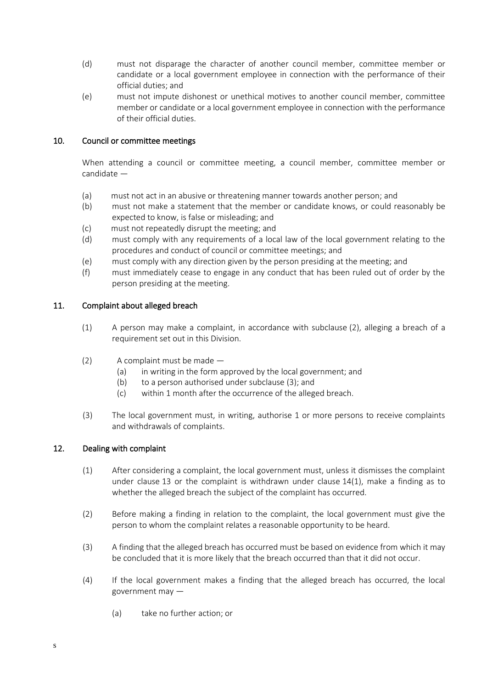- (d) must not disparage the character of another council member, committee member or candidate or a local government employee in connection with the performance of their official duties; and
- (e) must not impute dishonest or unethical motives to another council member, committee member or candidate or a local government employee in connection with the performance of their official duties.

# 10. Council or committee meetings

When attending a council or committee meeting, a council member, committee member or candidate —

- (a) must not act in an abusive or threatening manner towards another person; and
- (b) must not make a statement that the member or candidate knows, or could reasonably be expected to know, is false or misleading; and
- (c) must not repeatedly disrupt the meeting; and
- (d) must comply with any requirements of a local law of the local government relating to the procedures and conduct of council or committee meetings; and
- (e) must comply with any direction given by the person presiding at the meeting; and
- (f) must immediately cease to engage in any conduct that has been ruled out of order by the person presiding at the meeting.

# 11. Complaint about alleged breach

- (1) A person may make a complaint, in accordance with subclause (2), alleging a breach of a requirement set out in this Division.
- (2) A complaint must be made
	- (a) in writing in the form approved by the local government; and
	- (b) to a person authorised under subclause (3); and
	- (c) within 1 month after the occurrence of the alleged breach.
- (3) The local government must, in writing, authorise 1 or more persons to receive complaints and withdrawals of complaints.

# 12. Dealing with complaint

s

- (1) After considering a complaint, the local government must, unless it dismisses the complaint under clause 13 or the complaint is withdrawn under clause 14(1), make a finding as to whether the alleged breach the subject of the complaint has occurred.
- (2) Before making a finding in relation to the complaint, the local government must give the person to whom the complaint relates a reasonable opportunity to be heard.
- (3) A finding that the alleged breach has occurred must be based on evidence from which it may be concluded that it is more likely that the breach occurred than that it did not occur.
- (4) If the local government makes a finding that the alleged breach has occurred, the local government may —
	- (a) take no further action; or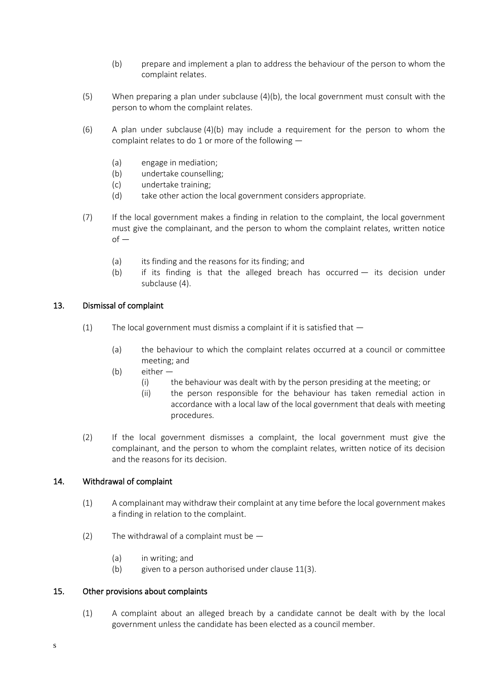- (b) prepare and implement a plan to address the behaviour of the person to whom the complaint relates.
- (5) When preparing a plan under subclause (4)(b), the local government must consult with the person to whom the complaint relates.
- (6) A plan under subclause (4)(b) may include a requirement for the person to whom the complaint relates to do 1 or more of the following —
	- (a) engage in mediation;
	- (b) undertake counselling;
	- (c) undertake training;
	- (d) take other action the local government considers appropriate.
- (7) If the local government makes a finding in relation to the complaint, the local government must give the complainant, and the person to whom the complaint relates, written notice  $of -$ 
	- (a) its finding and the reasons for its finding; and
	- (b) if its finding is that the alleged breach has occurred its decision under subclause (4).

# 13. Dismissal of complaint

- (1) The local government must dismiss a complaint if it is satisfied that  $-$ 
	- (a) the behaviour to which the complaint relates occurred at a council or committee meeting; and
	- (b) either
		- (i) the behaviour was dealt with by the person presiding at the meeting; or
			- (ii) the person responsible for the behaviour has taken remedial action in accordance with a local law of the local government that deals with meeting procedures.
- (2) If the local government dismisses a complaint, the local government must give the complainant, and the person to whom the complaint relates, written notice of its decision and the reasons for its decision.

# 14. Withdrawal of complaint

- (1) A complainant may withdraw their complaint at any time before the local government makes a finding in relation to the complaint.
- (2) The withdrawal of a complaint must be  $-$ 
	- (a) in writing; and
	- (b) given to a person authorised under clause 11(3).

# 15. Other provisions about complaints

s

(1) A complaint about an alleged breach by a candidate cannot be dealt with by the local government unless the candidate has been elected as a council member.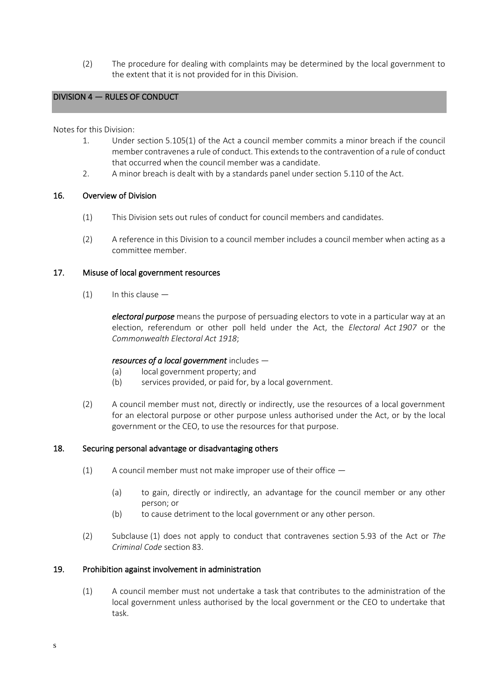(2) The procedure for dealing with complaints may be determined by the local government to the extent that it is not provided for in this Division.

# DIVISION 4 — RULES OF CONDUCT

Notes for this Division:

L

- 1. Under section 5.105(1) of the Act a council member commits a minor breach if the council member contravenes a rule of conduct. This extends to the contravention of a rule of conduct that occurred when the council member was a candidate.
- 2. A minor breach is dealt with by a standards panel under section 5.110 of the Act.

# 16. Overview of Division

- (1) This Division sets out rules of conduct for council members and candidates.
- (2) A reference in this Division to a council member includes a council member when acting as a committee member.

# 17. Misuse of local government resources

 $(1)$  In this clause  $-$ 

*electoral purpose* means the purpose of persuading electors to vote in a particular way at an election, referendum or other poll held under the Act, the *Electoral Act 1907* or the *Commonwealth Electoral Act 1918*;

# *resources of a local government* includes —

- (a) local government property; and
- (b) services provided, or paid for, by a local government.
- (2) A council member must not, directly or indirectly, use the resources of a local government for an electoral purpose or other purpose unless authorised under the Act, or by the local government or the CEO, to use the resources for that purpose.

# 18. Securing personal advantage or disadvantaging others

- (1) A council member must not make improper use of their office  $-$ 
	- (a) to gain, directly or indirectly, an advantage for the council member or any other person; or
	- (b) to cause detriment to the local government or any other person.
- (2) Subclause (1) does not apply to conduct that contravenes section 5.93 of the Act or *The Criminal Code* section 83.

# 19. Prohibition against involvement in administration

(1) A council member must not undertake a task that contributes to the administration of the local government unless authorised by the local government or the CEO to undertake that task.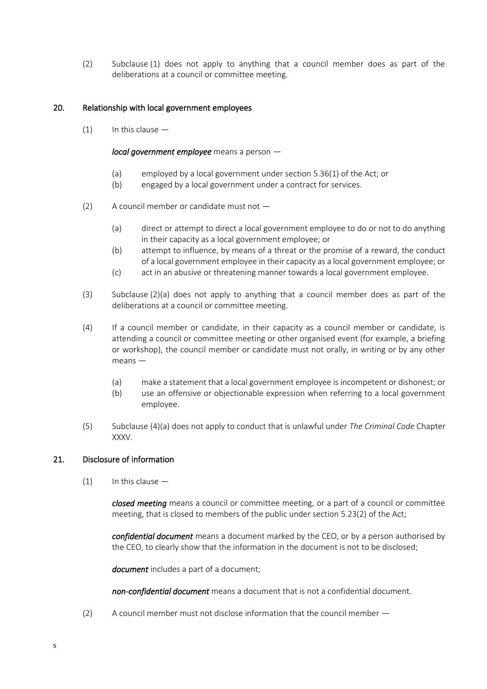(2) Subclause (1) does not apply to anything that a council member does as part of the deliberations at a council or committee meeting.

# 20. Relationship with local government employees

 $(1)$  In this clause  $-$ 

*local government employee* means a person —

- (a) employed by a local government under section 5.36(1) of the Act; or
- (b) engaged by a local government under a contract for services.
- (2) A council member or candidate must not
	- (a) direct or attempt to direct a local government employee to do or not to do anything in their capacity as a local government employee; or
	- (b) attempt to influence, by means of a threat or the promise of a reward, the conduct of a local government employee in their capacity as a local government employee; or
	- (c) act in an abusive or threatening manner towards a local government employee.
- (3) Subclause (2)(a) does not apply to anything that a council member does as part of the deliberations at a council or committee meeting.
- (4) If a council member or candidate, in their capacity as a council member or candidate, is attending a council or committee meeting or other organised event (for example, a briefing or workshop), the council member or candidate must not orally, in writing or by any other means —
	- (a) make a statement that a local government employee is incompetent or dishonest; or
	- (b) use an offensive or objectionable expression when referring to a local government employee.
- (5) Subclause (4)(a) does not apply to conduct that is unlawful under *The Criminal Code* Chapter XXXV.

# 21. Disclosure of information

 $(1)$  In this clause  $-$ 

*closed meeting* means a council or committee meeting, or a part of a council or committee meeting, that is closed to members of the public under section 5.23(2) of the Act;

*confidential document* means a document marked by the CEO, or by a person authorised by the CEO, to clearly show that the information in the document is not to be disclosed;

*document* includes a part of a document;

*non-confidential document* means a document that is not a confidential document.

(2) A council member must not disclose information that the council member —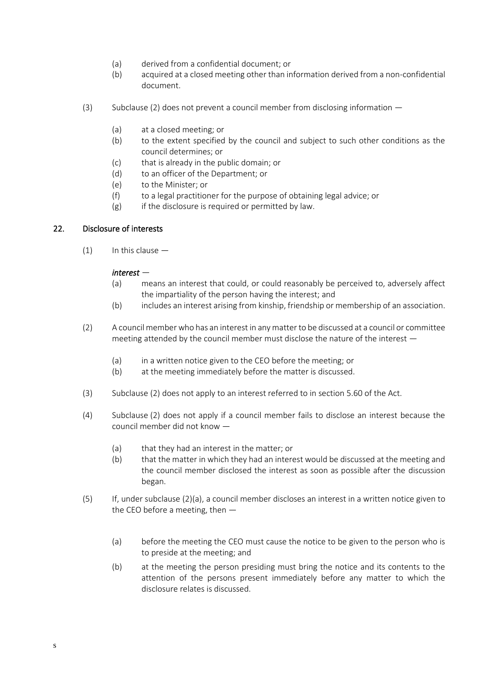- (a) derived from a confidential document; or
- (b) acquired at a closed meeting other than information derived from a non-confidential document.
- (3) Subclause (2) does not prevent a council member from disclosing information
	- (a) at a closed meeting; or
	- (b) to the extent specified by the council and subject to such other conditions as the council determines; or
	- (c) that is already in the public domain; or
	- (d) to an officer of the Department; or
	- (e) to the Minister; or
	- (f) to a legal practitioner for the purpose of obtaining legal advice; or
	- $(g)$  if the disclosure is required or permitted by law.

# 22. Disclosure of interests

 $(1)$  In this clause  $-$ 

# *interest* —

- (a) means an interest that could, or could reasonably be perceived to, adversely affect the impartiality of the person having the interest; and
- (b) includes an interest arising from kinship, friendship or membership of an association.
- (2) A council member who has an interest in any matter to be discussed at a council or committee meeting attended by the council member must disclose the nature of the interest —
	- (a) in a written notice given to the CEO before the meeting; or
	- (b) at the meeting immediately before the matter is discussed.
- (3) Subclause (2) does not apply to an interest referred to in section 5.60 of the Act.
- (4) Subclause (2) does not apply if a council member fails to disclose an interest because the council member did not know —
	- (a) that they had an interest in the matter; or
	- (b) that the matter in which they had an interest would be discussed at the meeting and the council member disclosed the interest as soon as possible after the discussion began.
- (5) If, under subclause (2)(a), a council member discloses an interest in a written notice given to the CEO before a meeting, then —
	- (a) before the meeting the CEO must cause the notice to be given to the person who is to preside at the meeting; and
	- (b) at the meeting the person presiding must bring the notice and its contents to the attention of the persons present immediately before any matter to which the disclosure relates is discussed.